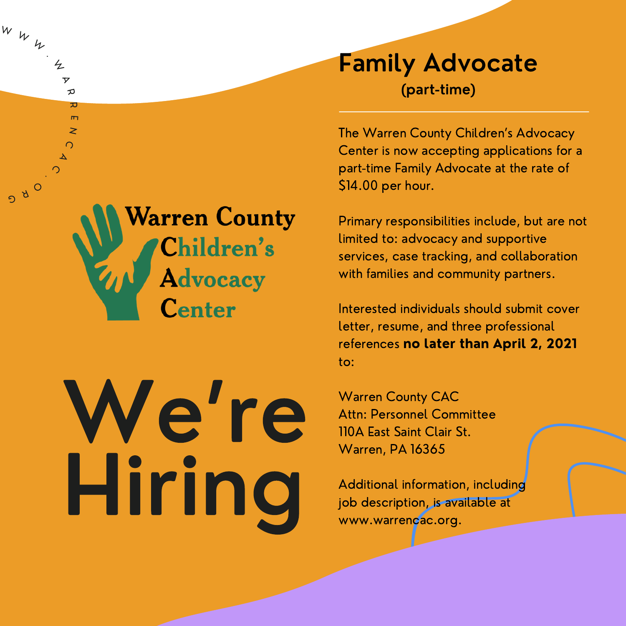

(part-time)

The Warren County Children's Advocacy Center is now accepting applications for a part-time Family Advocate at the rate of \$14.00 per hour.

Primary responsibilities include, but are not limited to: advocacy and supportive services, case tracking, and collaboration with families and community partners.

Interested individuals should submit cover letter, resume, and three professional references no later than April 2, 2021 to:

Warren County CAC Attn: Personnel Committee 110A East Saint Clair St. Warren, PA 16365

Additional information, including job description, is available at [www.warrencac.org](http://www.warrencac.org/).

**Varren County<br>Children's Advocacy Center** 

 $W W_{\mu}$ 

 $500$ 

 $\frac{1}{2}$ 

 $\mathcal{C}_{\mathcal{A}}$ 

 $\overline{\mathbf{y}}$  $\mathcal{D}$  $T$  $\mathbf{m}$  $\geq$  $\bigcap$ A

# We're Hiring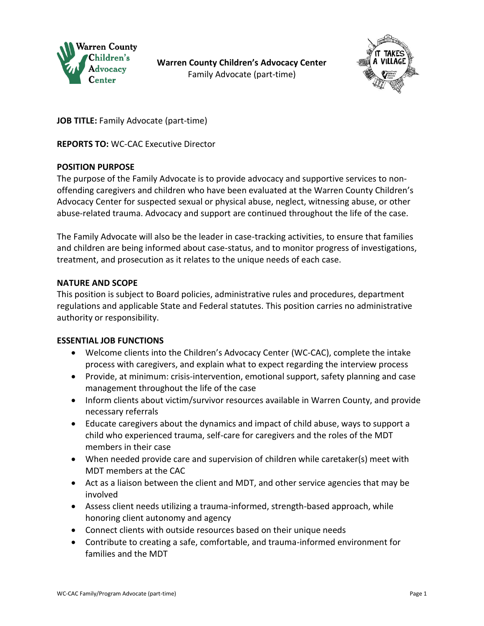

**Warren County Children's Advocacy Center** Family Advocate (part-time)



**JOB TITLE:** Family Advocate (part-time)

**REPORTS TO:** WC-CAC Executive Director

# **POSITION PURPOSE**

The purpose of the Family Advocate is to provide advocacy and supportive services to nonoffending caregivers and children who have been evaluated at the Warren County Children's Advocacy Center for suspected sexual or physical abuse, neglect, witnessing abuse, or other abuse-related trauma. Advocacy and support are continued throughout the life of the case.

The Family Advocate will also be the leader in case-tracking activities, to ensure that families and children are being informed about case-status, and to monitor progress of investigations, treatment, and prosecution as it relates to the unique needs of each case.

## **NATURE AND SCOPE**

This position is subject to Board policies, administrative rules and procedures, department regulations and applicable State and Federal statutes. This position carries no administrative authority or responsibility.

## **ESSENTIAL JOB FUNCTIONS**

- Welcome clients into the Children's Advocacy Center (WC-CAC), complete the intake process with caregivers, and explain what to expect regarding the interview process
- Provide, at minimum: crisis-intervention, emotional support, safety planning and case management throughout the life of the case
- Inform clients about victim/survivor resources available in Warren County, and provide necessary referrals
- Educate caregivers about the dynamics and impact of child abuse, ways to support a child who experienced trauma, self-care for caregivers and the roles of the MDT members in their case
- When needed provide care and supervision of children while caretaker(s) meet with MDT members at the CAC
- Act as a liaison between the client and MDT, and other service agencies that may be involved
- Assess client needs utilizing a trauma-informed, strength-based approach, while honoring client autonomy and agency
- Connect clients with outside resources based on their unique needs
- Contribute to creating a safe, comfortable, and trauma-informed environment for families and the MDT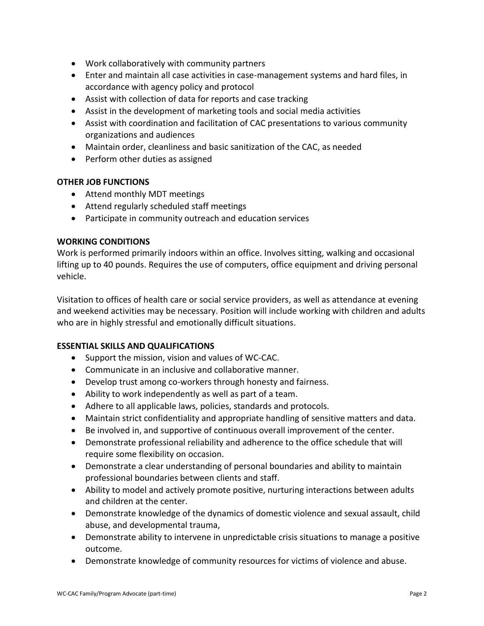- Work collaboratively with community partners
- Enter and maintain all case activities in case-management systems and hard files, in accordance with agency policy and protocol
- Assist with collection of data for reports and case tracking
- Assist in the development of marketing tools and social media activities
- Assist with coordination and facilitation of CAC presentations to various community organizations and audiences
- Maintain order, cleanliness and basic sanitization of the CAC, as needed
- Perform other duties as assigned

# **OTHER JOB FUNCTIONS**

- Attend monthly MDT meetings
- Attend regularly scheduled staff meetings
- Participate in community outreach and education services

# **WORKING CONDITIONS**

Work is performed primarily indoors within an office. Involves sitting, walking and occasional lifting up to 40 pounds. Requires the use of computers, office equipment and driving personal vehicle.

Visitation to offices of health care or social service providers, as well as attendance at evening and weekend activities may be necessary. Position will include working with children and adults who are in highly stressful and emotionally difficult situations.

# **ESSENTIAL SKILLS AND QUALIFICATIONS**

- Support the mission, vision and values of WC-CAC.
- Communicate in an inclusive and collaborative manner.
- Develop trust among co-workers through honesty and fairness.
- Ability to work independently as well as part of a team.
- Adhere to all applicable laws, policies, standards and protocols.
- Maintain strict confidentiality and appropriate handling of sensitive matters and data.
- Be involved in, and supportive of continuous overall improvement of the center.
- Demonstrate professional reliability and adherence to the office schedule that will require some flexibility on occasion.
- Demonstrate a clear understanding of personal boundaries and ability to maintain professional boundaries between clients and staff.
- Ability to model and actively promote positive, nurturing interactions between adults and children at the center.
- Demonstrate knowledge of the dynamics of domestic violence and sexual assault, child abuse, and developmental trauma,
- Demonstrate ability to intervene in unpredictable crisis situations to manage a positive outcome.
- Demonstrate knowledge of community resources for victims of violence and abuse.